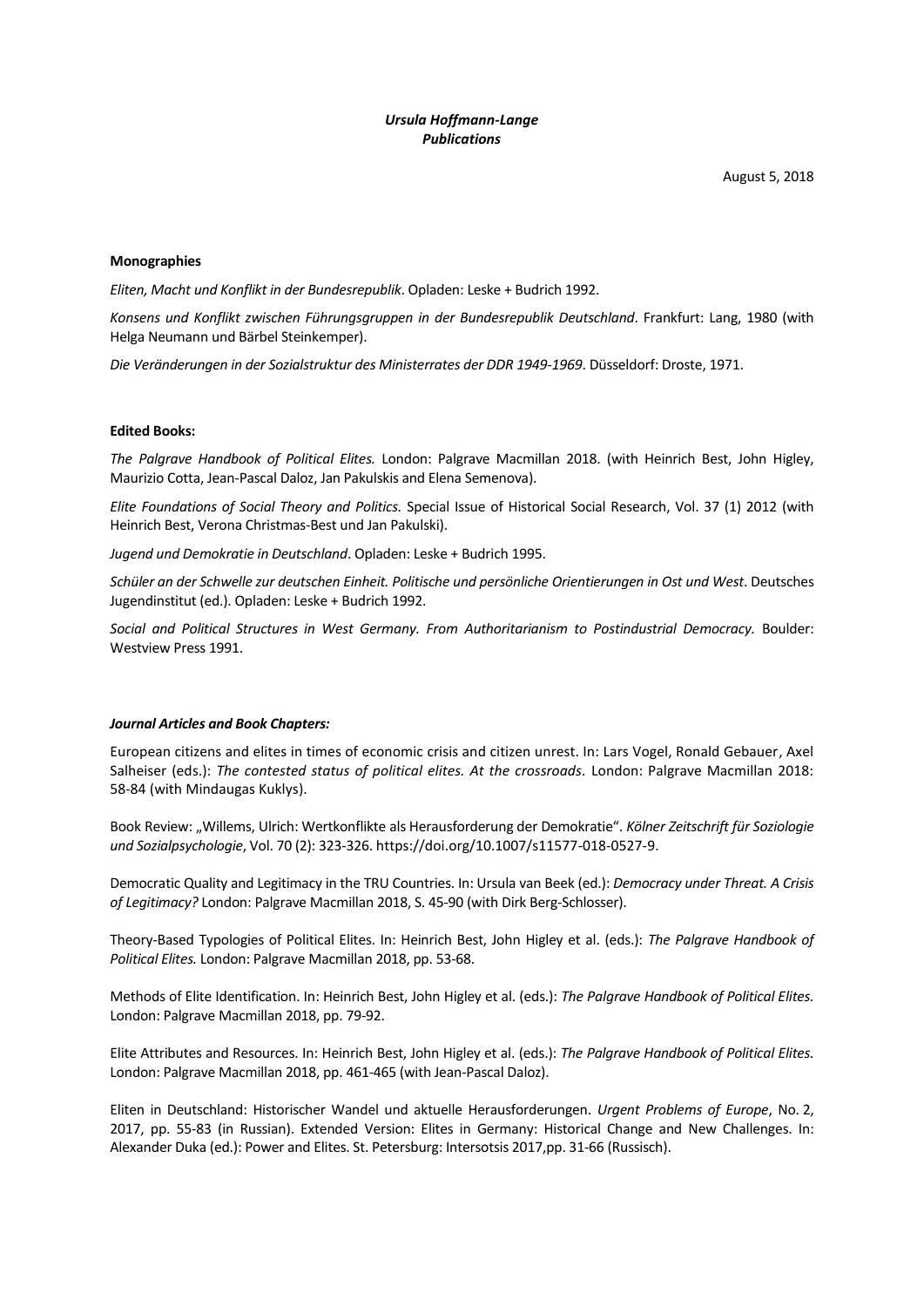# *Ursula Hoffmann-Lange Publications*

August 5, 2018

## **Monographies**

*Eliten, Macht und Konflikt in der Bundesrepublik*. Opladen: Leske + Budrich 1992.

*Konsens und Konflikt zwischen Führungsgruppen in der Bundesrepublik Deutschland*. Frankfurt: Lang, 1980 (with Helga Neumann und Bärbel Steinkemper).

*Die Veränderungen in der Sozialstruktur des Ministerrates der DDR 1949-1969*. Düsseldorf: Droste, 1971.

## **Edited Books:**

*The Palgrave Handbook of Political Elites.* London: Palgrave Macmillan 2018. (with Heinrich Best, John Higley, Maurizio Cotta, Jean-Pascal Daloz, Jan Pakulskis and Elena Semenova).

*Elite Foundations of Social Theory and Politics.* Special Issue of Historical Social Research, Vol. 37 (1) 2012 (with Heinrich Best, Verona Christmas-Best und Jan Pakulski).

*Jugend und Demokratie in Deutschland*. Opladen: Leske + Budrich 1995.

*Schüler an der Schwelle zur deutschen Einheit. Politische und persönliche Orientierungen in Ost und West*. Deutsches Jugendinstitut (ed.). Opladen: Leske + Budrich 1992.

*Social and Political Structures in West Germany. From Authoritarianism to Postindustrial Democracy.* Boulder: Westview Press 1991.

### *Journal Articles and Book Chapters:*

European citizens and elites in times of economic crisis and citizen unrest. In: Lars Vogel, Ronald Gebauer, Axel Salheiser (eds.): *The contested status of political elites. At the crossroads.* London: Palgrave Macmillan 2018: 58-84 (with Mindaugas Kuklys).

Book Review: "Willems, Ulrich: Wertkonflikte als Herausforderung der Demokratie". *Kölner Zeitschrift für Soziologie und Sozialpsychologie*, Vol. 70 (2): 323-326. https://doi.org/10.1007/s11577-018-0527-9.

Democratic Quality and Legitimacy in the TRU Countries. In: Ursula van Beek (ed.): *Democracy under Threat. A Crisis of Legitimacy?* London: Palgrave Macmillan 2018, S. 45-90 (with Dirk Berg-Schlosser).

Theory-Based Typologies of Political Elites. In: Heinrich Best, John Higley et al. (eds.): *The Palgrave Handbook of Political Elites.* London: Palgrave Macmillan 2018, pp. 53-68.

Methods of Elite Identification. In: Heinrich Best, John Higley et al. (eds.): *The Palgrave Handbook of Political Elites.* London: Palgrave Macmillan 2018, pp. 79-92.

Elite Attributes and Resources. In: Heinrich Best, John Higley et al. (eds.): *The Palgrave Handbook of Political Elites.* London: Palgrave Macmillan 2018, pp. 461-465 (with Jean-Pascal Daloz).

Eliten in Deutschland: Historischer Wandel und aktuelle Herausforderungen. *Urgent Problems of Europe*, No. 2, 2017, pp. 55-83 (in Russian). Extended Version: Elites in Germany: Historical Change and New Challenges. In: Alexander Duka (ed.): Power and Elites. St. Petersburg: Intersotsis 2017,pp. 31-66 (Russisch).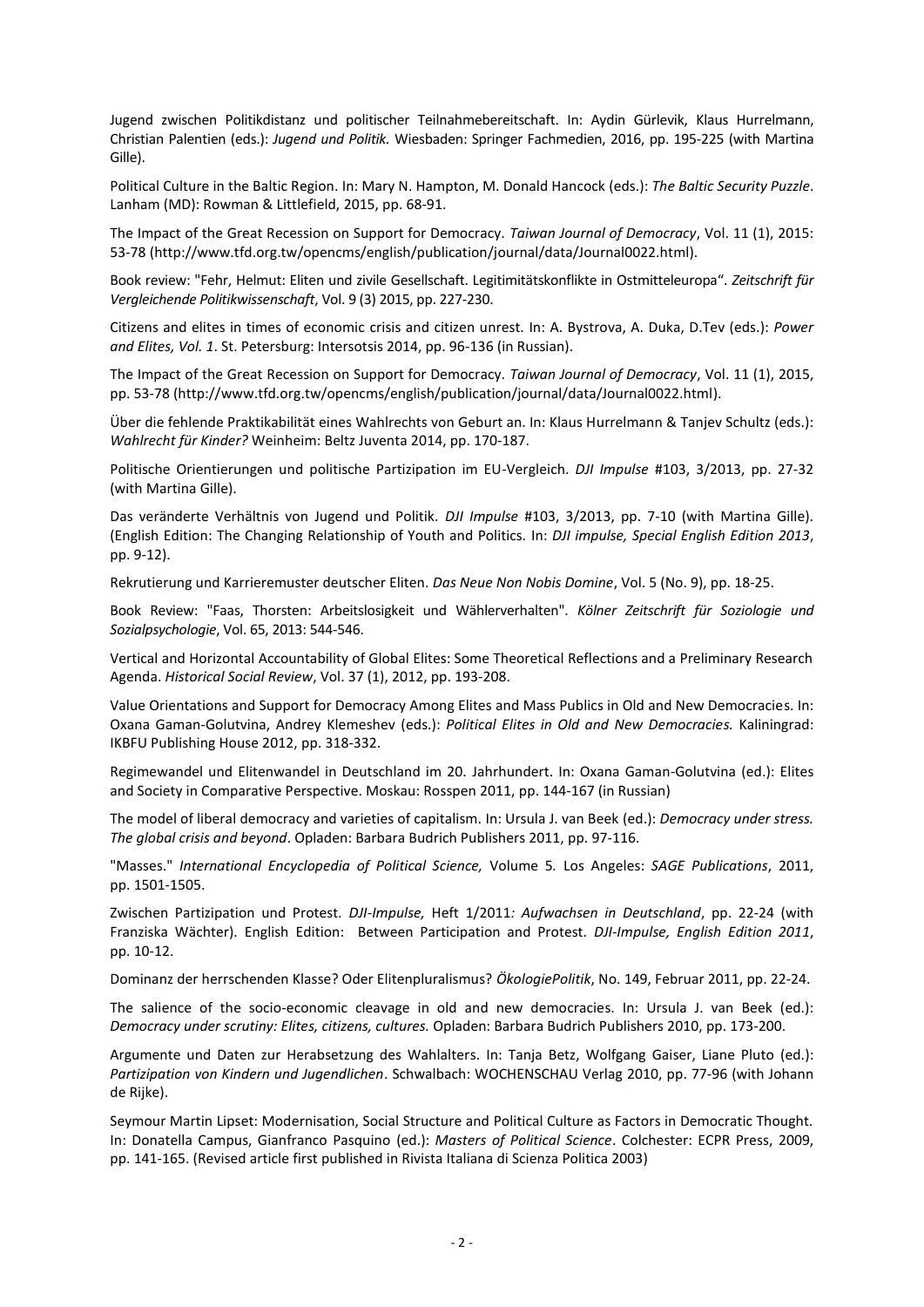Jugend zwischen Politikdistanz und politischer Teilnahmebereitschaft. In: Aydin Gürlevik, Klaus Hurrelmann, Christian Palentien (eds.): *Jugend und Politik.* Wiesbaden: Springer Fachmedien, 2016, pp. 195-225 (with Martina Gille).

Political Culture in the Baltic Region. In: Mary N. Hampton, M. Donald Hancock (eds.): *The Baltic Security Puzzle*. Lanham (MD): Rowman & Littlefield, 2015, pp. 68-91.

The Impact of the Great Recession on Support for Democracy. *Taiwan Journal of Democracy*, Vol. 11 (1), 2015: 53-78 (http://www.tfd.org.tw/opencms/english/publication/journal/data/Journal0022.html).

Book review: "Fehr, Helmut: Eliten und zivile Gesellschaft. Legitimitätskonflikte in Ostmitteleuropa". *Zeitschrift für Vergleichende Politikwissenschaft*, Vol. 9 (3) 2015, pp. 227-230.

Citizens and elites in times of economic crisis and citizen unrest. In: A. Bystrova, A. Duka, D.Tev (eds.): *Power and Elites, Vol. 1*. St. Petersburg: Intersotsis 2014, pp. 96-136 (in Russian).

The Impact of the Great Recession on Support for Democracy. *Taiwan Journal of Democracy*, Vol. 11 (1), 2015, pp. 53-78 (http://www.tfd.org.tw/opencms/english/publication/journal/data/Journal0022.html).

Über die fehlende Praktikabilität eines Wahlrechts von Geburt an. In: Klaus Hurrelmann & Tanjev Schultz (eds.): *Wahlrecht für Kinder?* Weinheim: Beltz Juventa 2014, pp. 170-187.

Politische Orientierungen und politische Partizipation im EU-Vergleich. *DJI Impulse* #103, 3/2013, pp. 27-32 (with Martina Gille).

Das veränderte Verhältnis von Jugend und Politik. *DJI Impulse* #103, 3/2013, pp. 7-10 (with Martina Gille). (English Edition: The Changing Relationship of Youth and Politics. In: *DJI impulse, Special English Edition 2013*, pp. 9-12).

Rekrutierung und Karrieremuster deutscher Eliten. *Das Neue Non Nobis Domine*, Vol. 5 (No. 9), pp. 18-25.

Book Review: "Faas, Thorsten: Arbeitslosigkeit und Wählerverhalten". *Kölner Zeitschrift für Soziologie und Sozialpsychologie*, Vol. 65, 2013: 544-546.

Vertical and Horizontal Accountability of Global Elites: Some Theoretical Reflections and a Preliminary Research Agenda. *Historical Social Review*, Vol. 37 (1), 2012, pp. 193-208.

Value Orientations and Support for Democracy Among Elites and Mass Publics in Old and New Democracies. In: Oxana Gaman-Golutvina, Andrey Klemeshev (eds.): *Political Elites in Old and New Democracies.* Kaliningrad: IKBFU Publishing House 2012, pp. 318-332.

Regimewandel und Elitenwandel in Deutschland im 20. Jahrhundert. In: Oxana Gaman-Golutvina (ed.): Elites and Society in Comparative Perspective. Moskau: Rosspen 2011, pp. 144-167 (in Russian)

The model of liberal democracy and varieties of capitalism. In: Ursula J. van Beek (ed.): *Democracy under stress. The global crisis and beyond*. Opladen: Barbara Budrich Publishers 2011, pp. 97-116.

"Masses." *International Encyclopedia of Political Science,* Volume 5*.* Los Angeles: *SAGE Publications*, 2011, pp. 1501-1505.

Zwischen Partizipation und Protest. *DJI-Impulse,* Heft 1/2011*: Aufwachsen in Deutschland*, pp. 22-24 (with Franziska Wächter). English Edition: Between Participation and Protest. *DJI-Impulse, English Edition 2011*, pp. 10-12.

Dominanz der herrschenden Klasse? Oder Elitenpluralismus? *ÖkologiePolitik*, No. 149, Februar 2011, pp. 22-24.

The salience of the socio-economic cleavage in old and new democracies. In: Ursula J. van Beek (ed.): *Democracy under scrutiny: Elites, citizens, cultures.* Opladen: Barbara Budrich Publishers 2010, pp. 173-200.

Argumente und Daten zur Herabsetzung des Wahlalters. In: Tanja Betz, Wolfgang Gaiser, Liane Pluto (ed.): *Partizipation von Kindern und Jugendlichen*. Schwalbach: WOCHENSCHAU Verlag 2010, pp. 77-96 (with Johann de Rijke).

Seymour Martin Lipset: Modernisation, Social Structure and Political Culture as Factors in Democratic Thought. In: Donatella Campus, Gianfranco Pasquino (ed.): *Masters of Political Science*. Colchester: ECPR Press, 2009, pp. 141-165. (Revised article first published in Rivista Italiana di Scienza Politica 2003)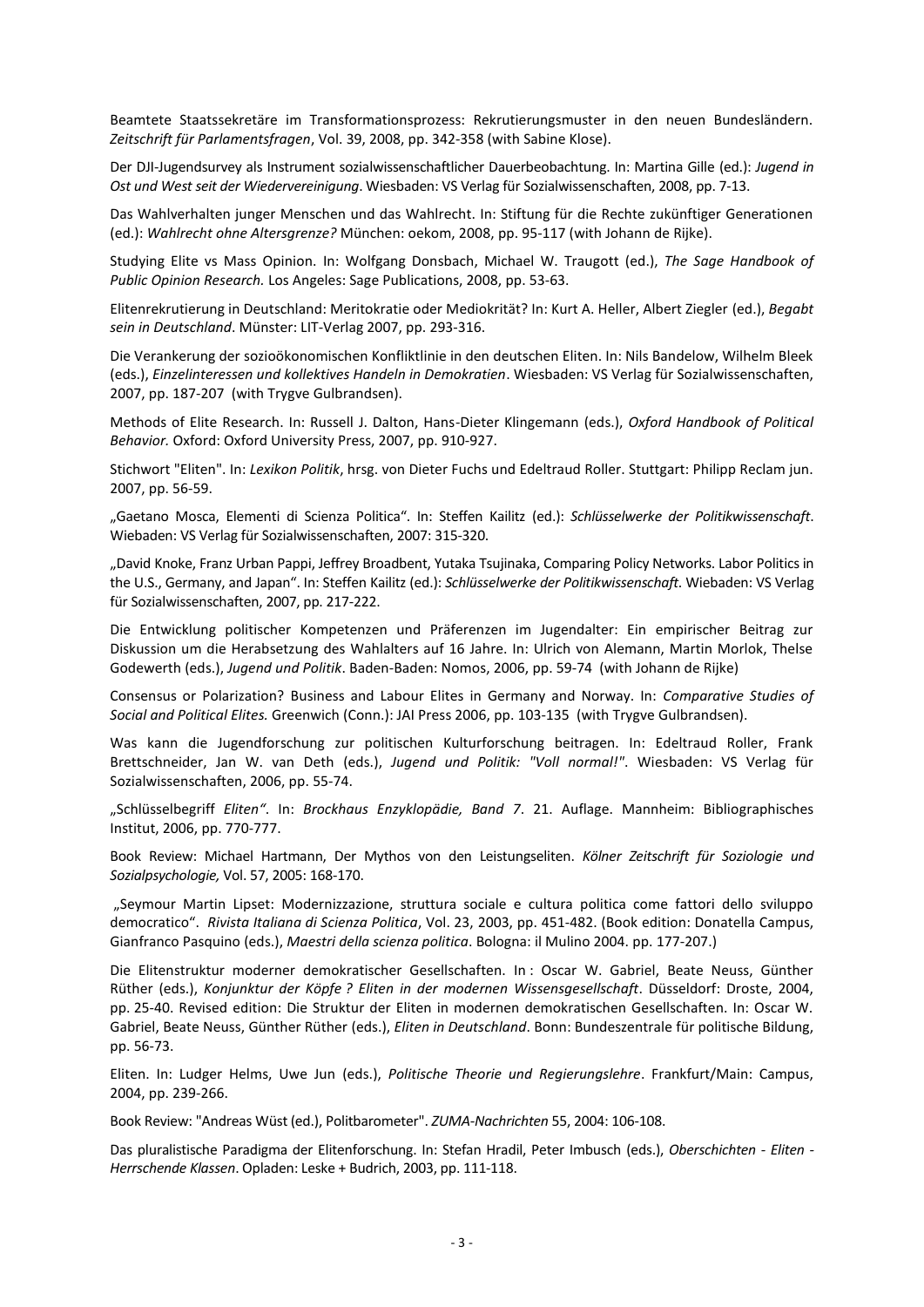Beamtete Staatssekretäre im Transformationsprozess: Rekrutierungsmuster in den neuen Bundesländern. *Zeitschrift für Parlamentsfragen*, Vol. 39, 2008, pp. 342-358 (with Sabine Klose).

Der DJI-Jugendsurvey als Instrument sozialwissenschaftlicher Dauerbeobachtung. In: Martina Gille (ed.): *Jugend in Ost und West seit der Wiedervereinigung*. Wiesbaden: VS Verlag für Sozialwissenschaften, 2008, pp. 7-13.

Das Wahlverhalten junger Menschen und das Wahlrecht. In: Stiftung für die Rechte zukünftiger Generationen (ed.): *Wahlrecht ohne Altersgrenze?* München: oekom, 2008, pp. 95-117 (with Johann de Rijke).

Studying Elite vs Mass Opinion. In: Wolfgang Donsbach, Michael W. Traugott (ed.), *The Sage Handbook of Public Opinion Research.* Los Angeles: Sage Publications, 2008, pp. 53-63.

Elitenrekrutierung in Deutschland: Meritokratie oder Mediokrität? In: Kurt A. Heller, Albert Ziegler (ed.), *Begabt sein in Deutschland*. Münster: LIT-Verlag 2007, pp. 293-316.

Die Verankerung der sozioökonomischen Konfliktlinie in den deutschen Eliten. In: Nils Bandelow, Wilhelm Bleek (eds.), *Einzelinteressen und kollektives Handeln in Demokratien*. Wiesbaden: VS Verlag für Sozialwissenschaften, 2007, pp. 187-207 (with Trygve Gulbrandsen).

Methods of Elite Research. In: Russell J. Dalton, Hans-Dieter Klingemann (eds.), *Oxford Handbook of Political Behavior.* Oxford: Oxford University Press, 2007, pp. 910-927.

Stichwort "Eliten". In: *Lexikon Politik*, hrsg. von Dieter Fuchs und Edeltraud Roller. Stuttgart: Philipp Reclam jun. 2007, pp. 56-59.

"Gaetano Mosca, Elementi di Scienza Politica". In: Steffen Kailitz (ed.): *Schlüsselwerke der Politikwissenschaft*. Wiebaden: VS Verlag für Sozialwissenschaften, 2007: 315-320.

"David Knoke, Franz Urban Pappi, Jeffrey Broadbent, Yutaka Tsujinaka, Comparing Policy Networks. Labor Politics in the U.S., Germany, and Japan". In: Steffen Kailitz (ed.): *Schlüsselwerke der Politikwissenschaft*. Wiebaden: VS Verlag für Sozialwissenschaften, 2007, pp. 217-222.

Die Entwicklung politischer Kompetenzen und Präferenzen im Jugendalter: Ein empirischer Beitrag zur Diskussion um die Herabsetzung des Wahlalters auf 16 Jahre. In: Ulrich von Alemann, Martin Morlok, Thelse Godewerth (eds.), *Jugend und Politik*. Baden-Baden: Nomos, 2006, pp. 59-74 (with Johann de Rijke)

Consensus or Polarization? Business and Labour Elites in Germany and Norway. In: *Comparative Studies of Social and Political Elites.* Greenwich (Conn.): JAI Press 2006, pp. 103-135 (with Trygve Gulbrandsen).

Was kann die Jugendforschung zur politischen Kulturforschung beitragen. In: Edeltraud Roller, Frank Brettschneider, Jan W. van Deth (eds.), *Jugend und Politik: "Voll normal!"*. Wiesbaden: VS Verlag für Sozialwissenschaften, 2006, pp. 55-74.

"Schlüsselbegriff *Eliten"*. In: *Brockhaus Enzyklopädie, Band 7*. 21. Auflage. Mannheim: Bibliographisches Institut, 2006, pp. 770-777.

Book Review: Michael Hartmann, Der Mythos von den Leistungseliten. *Kölner Zeitschrift für Soziologie und Sozialpsychologie,* Vol. 57, 2005: 168-170.

"Seymour Martin Lipset: Modernizzazione, struttura sociale e cultura politica come fattori dello sviluppo democratico". *Rivista Italiana di Scienza Politica*, Vol. 23, 2003, pp. 451-482. (Book edition: Donatella Campus, Gianfranco Pasquino (eds.), *Maestri della scienza politica*. Bologna: il Mulino 2004. pp. 177-207.)

Die Elitenstruktur moderner demokratischer Gesellschaften. In : Oscar W. Gabriel, Beate Neuss, Günther Rüther (eds.), *Konjunktur der Köpfe ? Eliten in der modernen Wissensgesellschaft*. Düsseldorf: Droste, 2004, pp. 25-40. Revised edition: Die Struktur der Eliten in modernen demokratischen Gesellschaften. In: Oscar W. Gabriel, Beate Neuss, Günther Rüther (eds.), *Eliten in Deutschland*. Bonn: Bundeszentrale für politische Bildung, pp. 56-73.

Eliten. In: Ludger Helms, Uwe Jun (eds.), *Politische Theorie und Regierungslehre*. Frankfurt/Main: Campus, 2004, pp. 239-266.

Book Review: "Andreas Wüst (ed.), Politbarometer". *ZUMA-Nachrichten* 55, 2004: 106-108.

Das pluralistische Paradigma der Elitenforschung. In: Stefan Hradil, Peter Imbusch (eds.), *Oberschichten - Eliten - Herrschende Klassen*. Opladen: Leske + Budrich, 2003, pp. 111-118.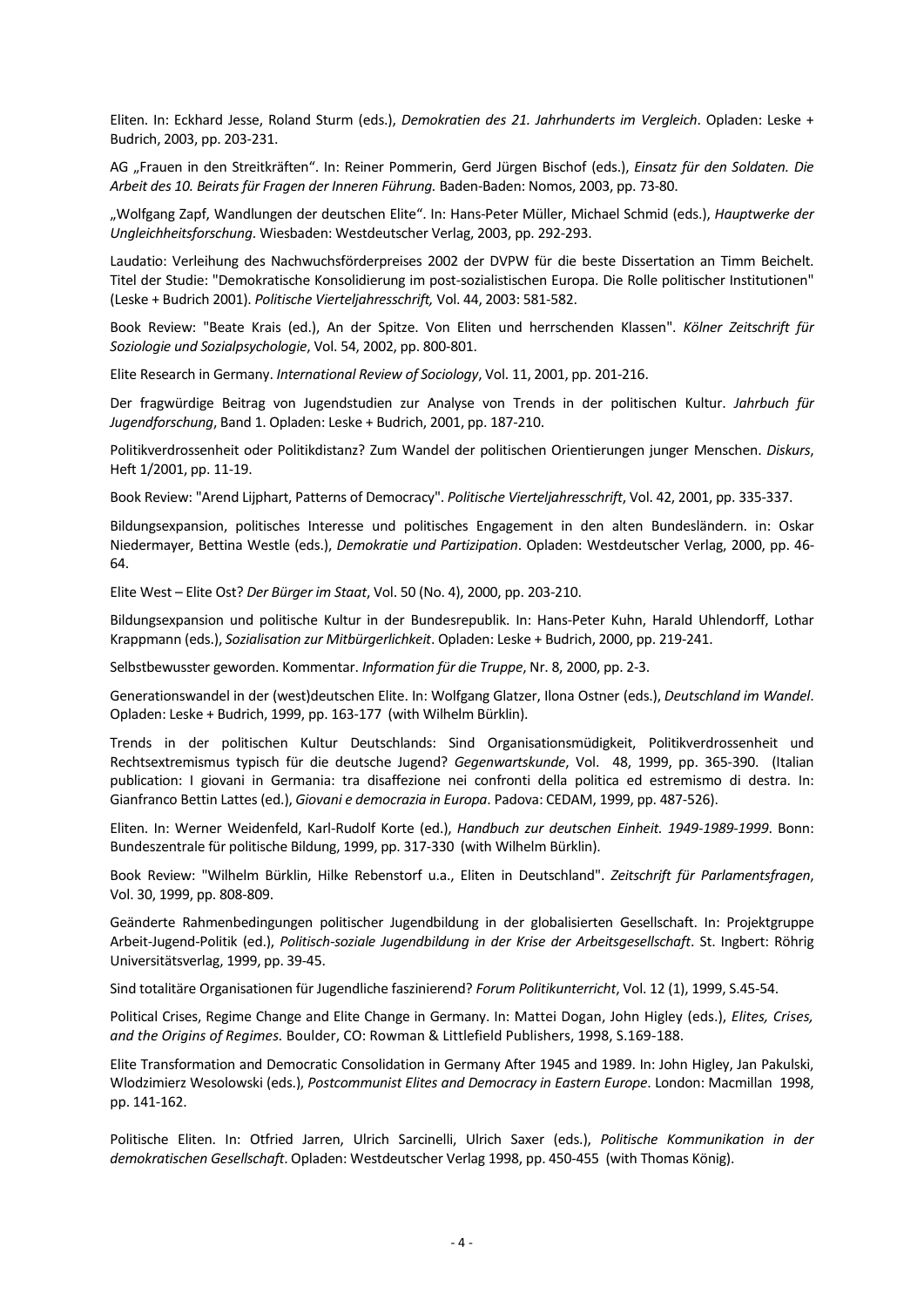Eliten. In: Eckhard Jesse, Roland Sturm (eds.), *Demokratien des 21. Jahrhunderts im Vergleich*. Opladen: Leske + Budrich, 2003, pp. 203-231.

AG "Frauen in den Streitkräften". In: Reiner Pommerin, Gerd Jürgen Bischof (eds.), *Einsatz für den Soldaten. Die Arbeit des 10. Beirats für Fragen der Inneren Führung.* Baden-Baden: Nomos, 2003, pp. 73-80.

"Wolfgang Zapf, Wandlungen der deutschen Elite". In: Hans-Peter Müller, Michael Schmid (eds.), *Hauptwerke der Ungleichheitsforschung*. Wiesbaden: Westdeutscher Verlag, 2003, pp. 292-293.

Laudatio: Verleihung des Nachwuchsförderpreises 2002 der DVPW für die beste Dissertation an Timm Beichelt. Titel der Studie: "Demokratische Konsolidierung im post-sozialistischen Europa. Die Rolle politischer Institutionen" (Leske + Budrich 2001). *Politische Vierteljahresschrift,* Vol. 44, 2003: 581-582.

Book Review: "Beate Krais (ed.), An der Spitze. Von Eliten und herrschenden Klassen". *Kölner Zeitschrift für Soziologie und Sozialpsychologie*, Vol. 54, 2002, pp. 800-801.

Elite Research in Germany. *International Review of Sociology*, Vol. 11, 2001, pp. 201-216.

Der fragwürdige Beitrag von Jugendstudien zur Analyse von Trends in der politischen Kultur. *Jahrbuch für Jugendforschung*, Band 1. Opladen: Leske + Budrich, 2001, pp. 187-210.

Politikverdrossenheit oder Politikdistanz? Zum Wandel der politischen Orientierungen junger Menschen. *Diskurs*, Heft 1/2001, pp. 11-19.

Book Review: "Arend Lijphart, Patterns of Democracy". *Politische Vierteljahresschrift*, Vol. 42, 2001, pp. 335-337.

Bildungsexpansion, politisches Interesse und politisches Engagement in den alten Bundesländern. in: Oskar Niedermayer, Bettina Westle (eds.), *Demokratie und Partizipation*. Opladen: Westdeutscher Verlag, 2000, pp. 46- 64.

Elite West – Elite Ost? *Der Bürger im Staat*, Vol. 50 (No. 4), 2000, pp. 203-210.

Bildungsexpansion und politische Kultur in der Bundesrepublik. In: Hans-Peter Kuhn, Harald Uhlendorff, Lothar Krappmann (eds.), *Sozialisation zur Mitbürgerlichkeit*. Opladen: Leske + Budrich, 2000, pp. 219-241.

Selbstbewusster geworden. Kommentar. *Information für die Truppe*, Nr. 8, 2000, pp. 2-3.

Generationswandel in der (west)deutschen Elite. In: Wolfgang Glatzer, Ilona Ostner (eds.), *Deutschland im Wandel*. Opladen: Leske + Budrich, 1999, pp. 163-177 (with Wilhelm Bürklin).

Trends in der politischen Kultur Deutschlands: Sind Organisationsmüdigkeit, Politikverdrossenheit und Rechtsextremismus typisch für die deutsche Jugend? *Gegenwartskunde*, Vol. 48, 1999, pp. 365-390. (Italian publication: I giovani in Germania: tra disaffezione nei confronti della politica ed estremismo di destra. In: Gianfranco Bettin Lattes (ed.), *Giovani e democrazia in Europa*. Padova: CEDAM, 1999, pp. 487-526).

Eliten. In: Werner Weidenfeld, Karl-Rudolf Korte (ed.), *Handbuch zur deutschen Einheit. 1949-1989-1999*. Bonn: Bundeszentrale für politische Bildung, 1999, pp. 317-330 (with Wilhelm Bürklin).

Book Review: "Wilhelm Bürklin, Hilke Rebenstorf u.a., Eliten in Deutschland". *Zeitschrift für Parlamentsfragen*, Vol. 30, 1999, pp. 808-809.

Geänderte Rahmenbedingungen politischer Jugendbildung in der globalisierten Gesellschaft. In: Projektgruppe Arbeit-Jugend-Politik (ed.), *Politisch-soziale Jugendbildung in der Krise der Arbeitsgesellschaft*. St. Ingbert: Röhrig Universitätsverlag, 1999, pp. 39-45.

Sind totalitäre Organisationen für Jugendliche faszinierend? *Forum Politikunterricht*, Vol. 12 (1), 1999, S.45-54.

Political Crises, Regime Change and Elite Change in Germany. In: Mattei Dogan, John Higley (eds.), *Elites, Crises, and the Origins of Regimes.* Boulder, CO: Rowman & Littlefield Publishers, 1998, S.169-188.

Elite Transformation and Democratic Consolidation in Germany After 1945 and 1989. In: John Higley, Jan Pakulski, Wlodzimierz Wesolowski (eds.), *Postcommunist Elites and Democracy in Eastern Europe*. London: Macmillan 1998, pp. 141-162.

Politische Eliten. In: Otfried Jarren, Ulrich Sarcinelli, Ulrich Saxer (eds.), *Politische Kommunikation in der demokratischen Gesellschaft*. Opladen: Westdeutscher Verlag 1998, pp. 450-455 (with Thomas König).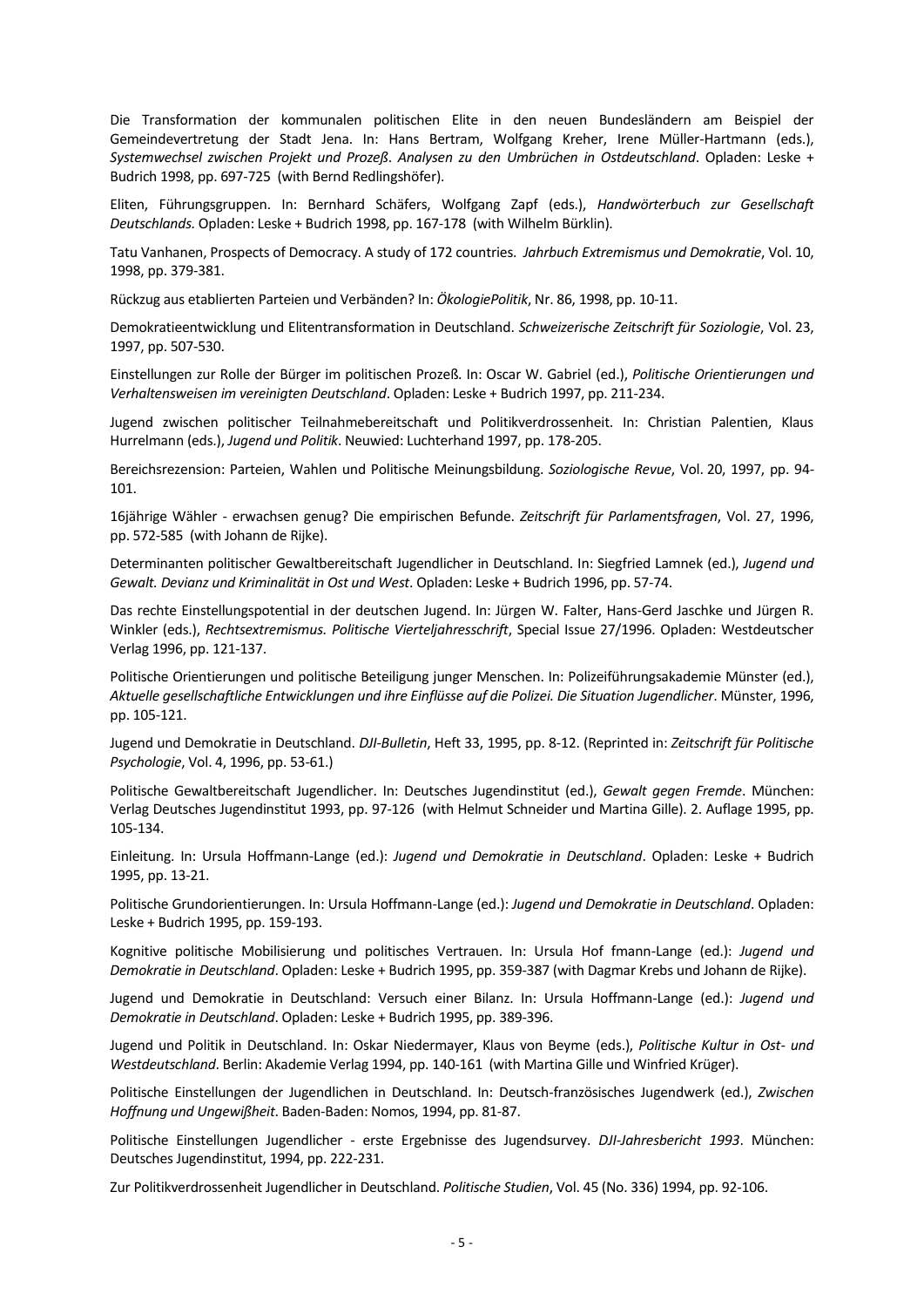Die Transformation der kommunalen politischen Elite in den neuen Bundesländern am Beispiel der Gemeindevertretung der Stadt Jena. In: Hans Bertram, Wolfgang Kreher, Irene Müller-Hartmann (eds.), *Systemwechsel zwischen Projekt und Prozeß*. *Analysen zu den Umbrüchen in Ostdeutschland*. Opladen: Leske + Budrich 1998, pp. 697-725 (with Bernd Redlingshöfer).

Eliten, Führungsgruppen. In: Bernhard Schäfers, Wolfgang Zapf (eds.), *Handwörterbuch zur Gesellschaft Deutschlands.* Opladen: Leske + Budrich 1998, pp. 167-178 (with Wilhelm Bürklin).

Tatu Vanhanen, Prospects of Democracy. A study of 172 countries. *Jahrbuch Extremismus und Demokratie*, Vol. 10, 1998, pp. 379-381.

Rückzug aus etablierten Parteien und Verbänden? In: *ÖkologiePolitik*, Nr. 86, 1998, pp. 10-11.

Demokratieentwicklung und Elitentransformation in Deutschland. *Schweizerische Zeitschrift für Soziologie*, Vol. 23, 1997, pp. 507-530.

Einstellungen zur Rolle der Bürger im politischen Prozeß. In: Oscar W. Gabriel (ed.), *Politische Orientierungen und Verhaltensweisen im vereinigten Deutschland*. Opladen: Leske + Budrich 1997, pp. 211-234.

Jugend zwischen politischer Teilnahmebereitschaft und Politikverdrossenheit. In: Christian Palentien, Klaus Hurrelmann (eds.), *Jugend und Politik*. Neuwied: Luchterhand 1997, pp. 178-205.

Bereichsrezension: Parteien, Wahlen und Politische Meinungsbildung. *Soziologische Revue*, Vol. 20, 1997, pp. 94- 101.

16jährige Wähler - erwachsen genug? Die empirischen Befunde. *Zeitschrift für Parlamentsfragen*, Vol. 27, 1996, pp. 572-585 (with Johann de Rijke).

Determinanten politischer Gewaltbereitschaft Jugendlicher in Deutschland. In: Siegfried Lamnek (ed.), *Jugend und Gewalt. Devianz und Kriminalität in Ost und West*. Opladen: Leske + Budrich 1996, pp. 57-74.

Das rechte Einstellungspotential in der deutschen Jugend. In: Jürgen W. Falter, Hans-Gerd Jaschke und Jürgen R. Winkler (eds.), *Rechtsextremismus. Politische Vierteljahresschrift*, Special Issue 27/1996. Opladen: Westdeutscher Verlag 1996, pp. 121-137.

Politische Orientierungen und politische Beteiligung junger Menschen. In: Polizeiführungsakademie Münster (ed.), *Aktuelle gesellschaftliche Entwicklungen und ihre Einflüsse auf die Polizei. Die Situation Jugendlicher*. Münster, 1996, pp. 105-121.

Jugend und Demokratie in Deutschland. *DJI-Bulletin*, Heft 33, 1995, pp. 8-12. (Reprinted in: *Zeitschrift für Politische Psychologie*, Vol. 4, 1996, pp. 53-61.)

Politische Gewaltbereitschaft Jugendlicher. In: Deutsches Jugendinstitut (ed.), *Gewalt gegen Fremde*. München: Verlag Deutsches Jugendinstitut 1993, pp. 97-126 (with Helmut Schneider und Martina Gille). 2. Auflage 1995, pp. 105-134.

Einleitung. In: Ursula Hoffmann-Lange (ed.): *Jugend und Demokratie in Deutschland*. Opladen: Leske + Budrich 1995, pp. 13-21.

Politische Grundorientierungen. In: Ursula Hoffmann-Lange (ed.): *Jugend und Demokratie in Deutschland*. Opladen: Leske + Budrich 1995, pp. 159-193.

Kognitive politische Mobilisierung und politisches Vertrauen. In: Ursula Hof fmann-Lange (ed.): *Jugend und Demokratie in Deutschland*. Opladen: Leske + Budrich 1995, pp. 359-387 (with Dagmar Krebs und Johann de Rijke).

Jugend und Demokratie in Deutschland: Versuch einer Bilanz. In: Ursula Hoffmann-Lange (ed.): *Jugend und Demokratie in Deutschland*. Opladen: Leske + Budrich 1995, pp. 389-396.

Jugend und Politik in Deutschland. In: Oskar Niedermayer, Klaus von Beyme (eds.), *Politische Kultur in Ost- und Westdeutschland*. Berlin: Akademie Verlag 1994, pp. 140-161 (with Martina Gille und Winfried Krüger).

Politische Einstellungen der Jugendlichen in Deutschland. In: Deutsch-französisches Jugendwerk (ed.), *Zwischen Hoffnung und Ungewißheit*. Baden-Baden: Nomos, 1994, pp. 81-87.

Politische Einstellungen Jugendlicher - erste Ergebnisse des Jugendsurvey. *DJI-Jahresbericht 1993*. München: Deutsches Jugendinstitut, 1994, pp. 222-231.

Zur Politikverdrossenheit Jugendlicher in Deutschland. *Politische Studien*, Vol. 45 (No. 336) 1994, pp. 92-106.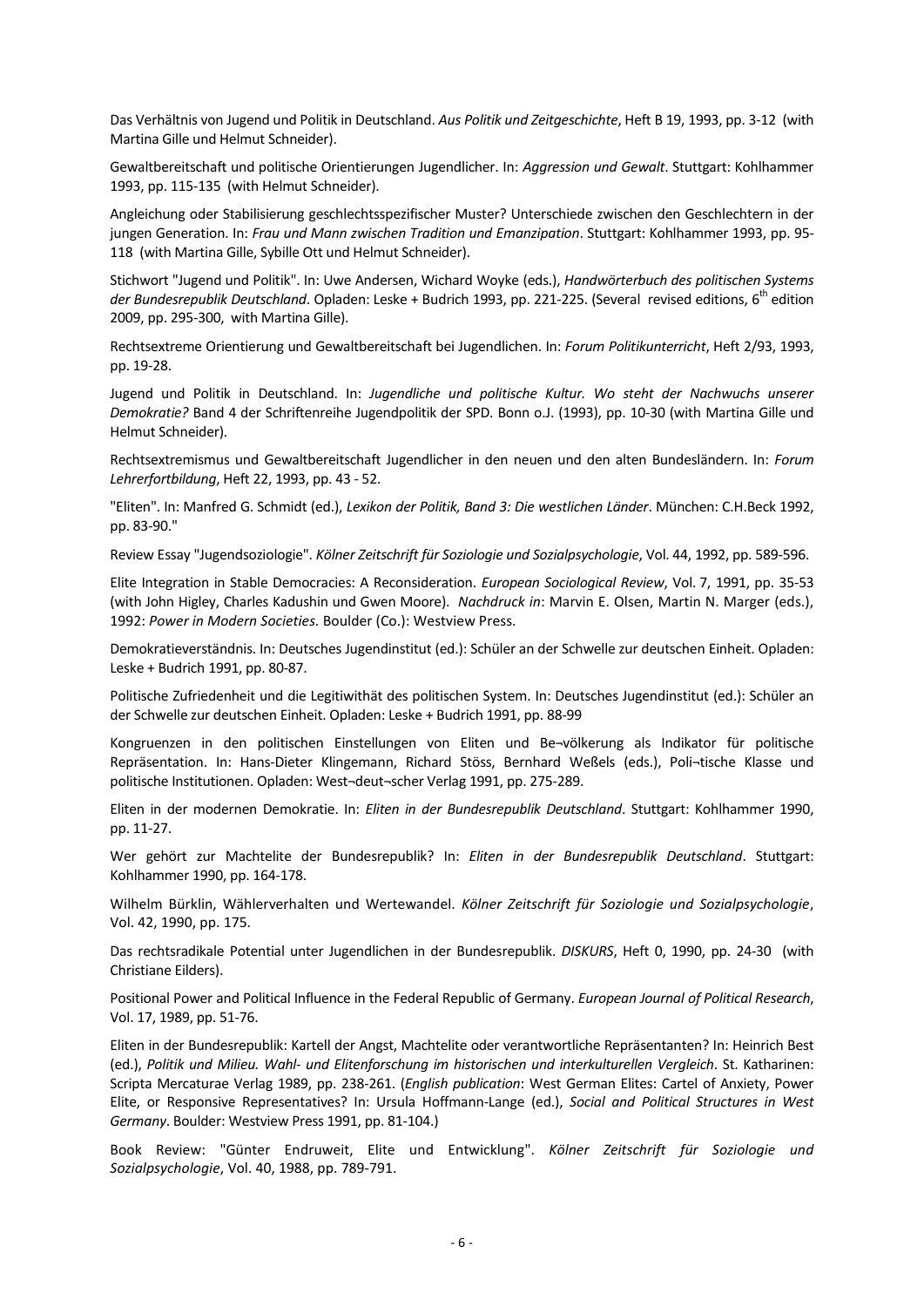Das Verhältnis von Jugend und Politik in Deutschland. *Aus Politik und Zeitgeschichte*, Heft B 19, 1993, pp. 3-12 (with Martina Gille und Helmut Schneider).

Gewaltbereitschaft und politische Orientierungen Jugendlicher. In: *Aggression und Gewalt*. Stuttgart: Kohlhammer 1993, pp. 115-135 (with Helmut Schneider).

Angleichung oder Stabilisierung geschlechtsspezifischer Muster? Unterschiede zwischen den Geschlechtern in der jungen Generation. In: *Frau und Mann zwischen Tradition und Emanzipation*. Stuttgart: Kohlhammer 1993, pp. 95- 118 (with Martina Gille, Sybille Ott und Helmut Schneider).

Stichwort "Jugend und Politik". In: Uwe Andersen, Wichard Woyke (eds.), *Handwörterbuch des politischen Systems*  der Bundesrepublik Deutschland. Opladen: Leske + Budrich 1993, pp. 221-225. (Several revised editions, 6<sup>th</sup> edition 2009, pp. 295-300, with Martina Gille).

Rechtsextreme Orientierung und Gewaltbereitschaft bei Jugendlichen. In: *Forum Politikunterricht*, Heft 2/93, 1993, pp. 19-28.

Jugend und Politik in Deutschland. In: *Jugendliche und politische Kultur. Wo steht der Nachwuchs unserer Demokratie?* Band 4 der Schriftenreihe Jugendpolitik der SPD. Bonn o.J. (1993), pp. 10-30 (with Martina Gille und Helmut Schneider).

Rechtsextremismus und Gewaltbereitschaft Jugendlicher in den neuen und den alten Bundesländern. In: *Forum Lehrerfortbildung*, Heft 22, 1993, pp. 43 - 52.

"Eliten". In: Manfred G. Schmidt (ed.), *Lexikon der Politik, Band 3: Die westlichen Länder*. München: C.H.Beck 1992, pp. 83-90."

Review Essay "Jugendsoziologie". *Kölner Zeitschrift für Soziologie und Sozialpsychologie*, Vol. 44, 1992, pp. 589-596.

Elite Integration in Stable Democracies: A Reconsideration. *European Sociological Review*, Vol. 7, 1991, pp. 35-53 (with John Higley, Charles Kadushin und Gwen Moore). *Nachdruck in*: Marvin E. Olsen, Martin N. Marger (eds.), 1992: *Power in Modern Societies.* Boulder (Co.): Westview Press.

Demokratieverständnis. In: Deutsches Jugendinstitut (ed.): Schüler an der Schwelle zur deutschen Einheit. Opladen: Leske + Budrich 1991, pp. 80-87.

Politische Zufriedenheit und die Legitiwithät des politischen System. In: Deutsches Jugendinstitut (ed.): Schüler an der Schwelle zur deutschen Einheit. Opladen: Leske + Budrich 1991, pp. 88-99

Kongruenzen in den politischen Einstellungen von Eliten und Be¬völkerung als Indikator für politische Repräsentation. In: Hans-Dieter Klingemann, Richard Stöss, Bernhard Weßels (eds.), Poli¬tische Klasse und politische Institutionen. Opladen: West¬deut¬scher Verlag 1991, pp. 275-289.

Eliten in der modernen Demokratie. In: *Eliten in der Bundesrepublik Deutschland*. Stuttgart: Kohlhammer 1990, pp. 11-27.

Wer gehört zur Machtelite der Bundesrepublik? In: *Eliten in der Bundesrepublik Deutschland*. Stuttgart: Kohlhammer 1990, pp. 164-178.

Wilhelm Bürklin, Wählerverhalten und Wertewandel. *Kölner Zeitschrift für Soziologie und Sozialpsychologie*, Vol. 42, 1990, pp. 175.

Das rechtsradikale Potential unter Jugendlichen in der Bundesrepublik. *DISKURS*, Heft 0, 1990, pp. 24-30 (with Christiane Eilders).

Positional Power and Political Influence in the Federal Republic of Germany. *European Journal of Political Research*, Vol. 17, 1989, pp. 51-76.

Eliten in der Bundesrepublik: Kartell der Angst, Machtelite oder verantwortliche Repräsentanten? In: Heinrich Best (ed.), *Politik und Milieu. Wahl- und Elitenforschung im historischen und interkulturellen Vergleich*. St. Katharinen: Scripta Mercaturae Verlag 1989, pp. 238-261. (*English publication*: West German Elites: Cartel of Anxiety, Power Elite, or Responsive Representatives? In: Ursula Hoffmann-Lange (ed.), *Social and Political Structures in West Germany*. Boulder: Westview Press 1991, pp. 81-104.)

Book Review: "Günter Endruweit, Elite und Entwicklung". *Kölner Zeitschrift für Soziologie und Sozialpsychologie*, Vol. 40, 1988, pp. 789-791.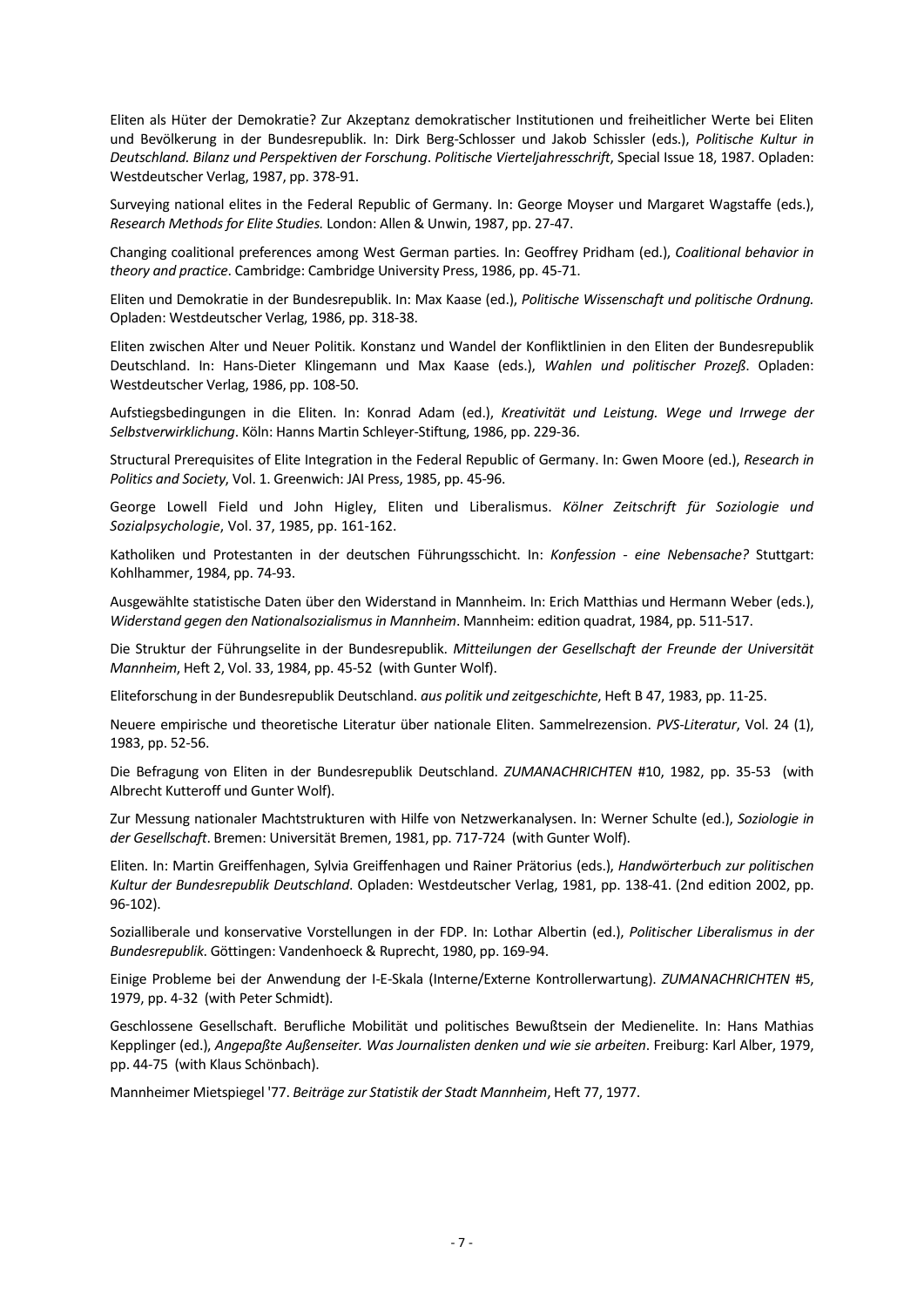Eliten als Hüter der Demokratie? Zur Akzeptanz demokratischer Institutionen und freiheitlicher Werte bei Eliten und Bevölkerung in der Bundesrepublik. In: Dirk Berg-Schlosser und Jakob Schissler (eds.), *Politische Kultur in Deutschland. Bilanz und Perspektiven der Forschung*. *Politische Vierteljahresschrift*, Special Issue 18, 1987. Opladen: Westdeutscher Verlag, 1987, pp. 378-91.

Surveying national elites in the Federal Republic of Germany. In: George Moyser und Margaret Wagstaffe (eds.), *Research Methods for Elite Studies.* London: Allen & Unwin, 1987, pp. 27-47.

Changing coalitional preferences among West German parties. In: Geoffrey Pridham (ed.), *Coalitional behavior in theory and practice*. Cambridge: Cambridge University Press, 1986, pp. 45-71.

Eliten und Demokratie in der Bundesrepublik. In: Max Kaase (ed.), *Politische Wissenschaft und politische Ordnung.* Opladen: Westdeutscher Verlag, 1986, pp. 318-38.

Eliten zwischen Alter und Neuer Politik. Konstanz und Wandel der Konfliktlinien in den Eliten der Bundesrepublik Deutschland. In: Hans-Dieter Klingemann und Max Kaase (eds.), *Wahlen und politischer Prozeß*. Opladen: Westdeutscher Verlag, 1986, pp. 108-50.

Aufstiegsbedingungen in die Eliten. In: Konrad Adam (ed.), *Kreativität und Leistung. Wege und Irrwege der Selbstverwirklichung*. Köln: Hanns Martin Schleyer-Stiftung, 1986, pp. 229-36.

Structural Prerequisites of Elite Integration in the Federal Republic of Germany. In: Gwen Moore (ed.), *Research in Politics and Society*, Vol. 1. Greenwich: JAI Press, 1985, pp. 45-96.

George Lowell Field und John Higley, Eliten und Liberalismus. *Kölner Zeitschrift für Soziologie und Sozialpsychologie*, Vol. 37, 1985, pp. 161-162.

Katholiken und Protestanten in der deutschen Führungsschicht. In: *Konfession - eine Nebensache?* Stuttgart: Kohlhammer, 1984, pp. 74-93.

Ausgewählte statistische Daten über den Widerstand in Mannheim. In: Erich Matthias und Hermann Weber (eds.), *Widerstand gegen den Nationalsozialismus in Mannheim*. Mannheim: edition quadrat, 1984, pp. 511-517.

Die Struktur der Führungselite in der Bundesrepublik. *Mitteilungen der Gesellschaft der Freunde der Universität Mannheim*, Heft 2, Vol. 33, 1984, pp. 45-52 (with Gunter Wolf).

Eliteforschung in der Bundesrepublik Deutschland. *aus politik und zeitgeschichte*, Heft B 47, 1983, pp. 11-25.

Neuere empirische und theoretische Literatur über nationale Eliten. Sammelrezension. *PVS-Literatur*, Vol. 24 (1), 1983, pp. 52-56.

Die Befragung von Eliten in der Bundesrepublik Deutschland. *ZUMANACHRICHTEN* #10, 1982, pp. 35-53 (with Albrecht Kutteroff und Gunter Wolf).

Zur Messung nationaler Machtstrukturen with Hilfe von Netzwerkanalysen. In: Werner Schulte (ed.), *Soziologie in der Gesellschaft*. Bremen: Universität Bremen, 1981, pp. 717-724 (with Gunter Wolf).

Eliten. In: Martin Greiffenhagen, Sylvia Greiffenhagen und Rainer Prätorius (eds.), *Handwörterbuch zur politischen Kultur der Bundesrepublik Deutschland*. Opladen: Westdeutscher Verlag, 1981, pp. 138-41. (2nd edition 2002, pp. 96-102).

Sozialliberale und konservative Vorstellungen in der FDP. In: Lothar Albertin (ed.), *Politischer Liberalismus in der Bundesrepublik*. Göttingen: Vandenhoeck & Ruprecht, 1980, pp. 169-94.

Einige Probleme bei der Anwendung der I-E-Skala (Interne/Externe Kontrollerwartung). *ZUMANACHRICHTEN* #5, 1979, pp. 4-32 (with Peter Schmidt).

Geschlossene Gesellschaft. Berufliche Mobilität und politisches Bewußtsein der Medienelite. In: Hans Mathias Kepplinger (ed.), *Angepaßte Außenseiter. Was Journalisten denken und wie sie arbeiten*. Freiburg: Karl Alber, 1979, pp. 44-75 (with Klaus Schönbach).

Mannheimer Mietspiegel '77. *Beiträge zur Statistik der Stadt Mannheim*, Heft 77, 1977.